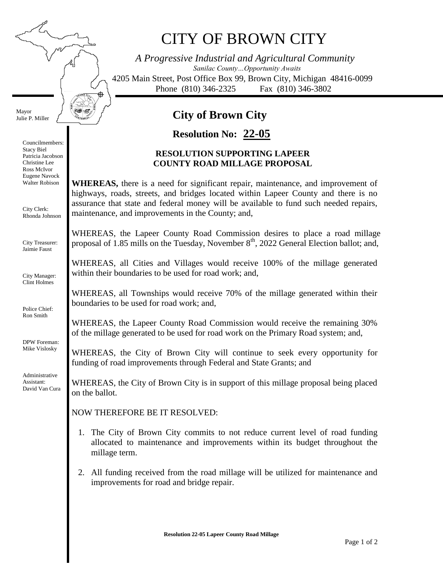₱

Mayor Julie P. Miller

> Councilmembers: Stacy Biel Patricia Jacobson Christine Lee Ross McIvor Eugene Navock Walter Robison

City Clerk: Rhonda Johnson

City Treasurer: Jaimie Faust

City Manager: Clint Holmes

Police Chief: Ron Smith

DPW Foreman: Mike Vislosky

Administrative Assistant: David Van Cura

# CITY OF BROWN CITY

*A Progressive Industrial and Agricultural Community Sanilac County…Opportunity Awaits* 4205 Main Street, Post Office Box 99, Brown City, Michigan 48416-0099 Phone (810) 346-2325 Fax (810) 346-3802

## **City of Brown City**

### **22-05 Resolution No:**

#### **RESOLUTION SUPPORTING LAPEER COUNTY ROAD MILLAGE PROPOSAL**

**WHEREAS,** there is a need for significant repair, maintenance, and improvement of highways, roads, streets, and bridges located within Lapeer County and there is no assurance that state and federal money will be available to fund such needed repairs, maintenance, and improvements in the County; and,

WHEREAS, the Lapeer County Road Commission desires to place a road millage proposal of 1.85 mills on the Tuesday, November  $8<sup>th</sup>$ , 2022 General Election ballot; and,

WHEREAS, all Cities and Villages would receive 100% of the millage generated within their boundaries to be used for road work; and,

WHEREAS, all Townships would receive 70% of the millage generated within their boundaries to be used for road work; and,

WHEREAS, the Lapeer County Road Commission would receive the remaining 30% of the millage generated to be used for road work on the Primary Road system; and,

WHEREAS, the City of Brown City will continue to seek every opportunity for funding of road improvements through Federal and State Grants; and

WHEREAS, the City of Brown City is in support of this millage proposal being placed on the ballot.

NOW THEREFORE BE IT RESOLVED:

- 1. The City of Brown City commits to not reduce current level of road funding allocated to maintenance and improvements within its budget throughout the millage term.
- 2. All funding received from the road millage will be utilized for maintenance and improvements for road and bridge repair.